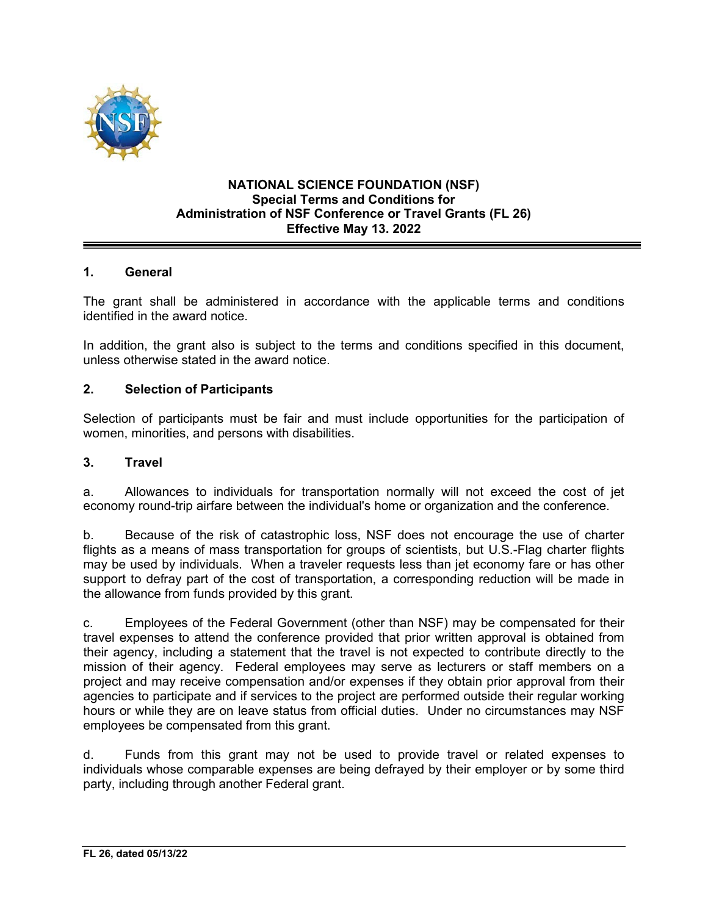

#### **NATIONAL SCIENCE FOUNDATION (NSF) Special Terms and Conditions for Administration of NSF Conference or Travel Grants (FL 26) Effective May 13. 2022**

### **1. General**

The grant shall be administered in accordance with the applicable terms and conditions identified in the award notice.

In addition, the grant also is subject to the terms and conditions specified in this document, unless otherwise stated in the award notice.

#### **2. Selection of Participants**

Selection of participants must be fair and must include opportunities for the participation of women, minorities, and persons with disabilities.

#### **3. Travel**

a. Allowances to individuals for transportation normally will not exceed the cost of jet economy round-trip airfare between the individual's home or organization and the conference.

b. Because of the risk of catastrophic loss, NSF does not encourage the use of charter flights as a means of mass transportation for groups of scientists, but U.S.-Flag charter flights may be used by individuals. When a traveler requests less than jet economy fare or has other support to defray part of the cost of transportation, a corresponding reduction will be made in the allowance from funds provided by this grant.

c. Employees of the Federal Government (other than NSF) may be compensated for their travel expenses to attend the conference provided that prior written approval is obtained from their agency, including a statement that the travel is not expected to contribute directly to the mission of their agency. Federal employees may serve as lecturers or staff members on a project and may receive compensation and/or expenses if they obtain prior approval from their agencies to participate and if services to the project are performed outside their regular working hours or while they are on leave status from official duties. Under no circumstances may NSF employees be compensated from this grant.

d. Funds from this grant may not be used to provide travel or related expenses to individuals whose comparable expenses are being defrayed by their employer or by some third party, including through another Federal grant.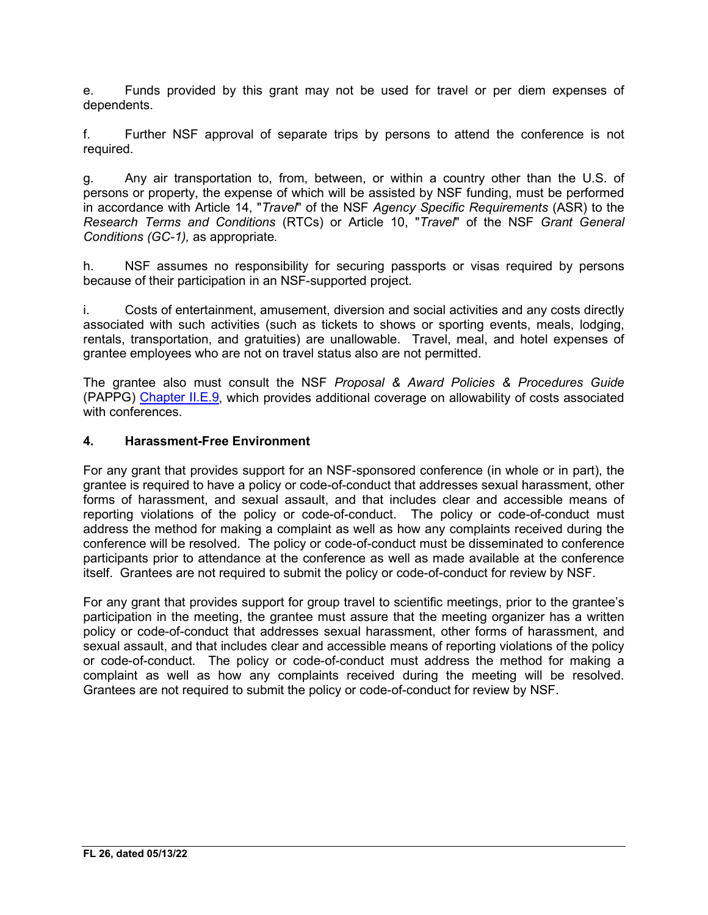e. Funds provided by this grant may not be used for travel or per diem expenses of dependents.

f. Further NSF approval of separate trips by persons to attend the conference is not required.

g. Any air transportation to, from, between, or within a country other than the U.S. of persons or property, the expense of which will be assisted by NSF funding, must be performed in accordance with Article 14, "*Travel*" of the NSF *Agency Specific Requirements* (ASR) to the *Research Terms and Conditions* (RTCs) or Article 10, "*Travel*" of the NSF *Grant General Conditions (GC-1),* as appropriate*.* 

h. NSF assumes no responsibility for securing passports or visas required by persons because of their participation in an NSF-supported project.

i. Costs of entertainment, amusement, diversion and social activities and any costs directly associated with such activities (such as tickets to shows or sporting events, meals, lodging, rentals, transportation, and gratuities) are unallowable. Travel, meal, and hotel expenses of grantee employees who are not on travel status also are not permitted.

The grantee also must consult the NSF *Proposal & Award Policies & Procedures Guide* (PAPPG) Chapter II.E.9, which provides additional coverage on allowability of costs associated with conferences.

### **4. Harassment-Free Environment**

For any grant that provides support for an NSF-sponsored conference (in whole or in part), the grantee is required to have a policy or code-of-conduct that addresses sexual harassment, other forms of harassment, and sexual assault, and that includes clear and accessible means of reporting violations of the policy or code-of-conduct. The policy or code-of-conduct must address the method for making a complaint as well as how any complaints received during the conference will be resolved. The policy or code-of-conduct must be disseminated to conference participants prior to attendance at the conference as well as made available at the conference itself. Grantees are not required to submit the policy or code-of-conduct for review by NSF.

For any grant that provides support for group travel to scientific meetings, prior to the grantee's participation in the meeting, the grantee must assure that the meeting organizer has a written policy or code-of-conduct that addresses sexual harassment, other forms of harassment, and sexual assault, and that includes clear and accessible means of reporting violations of the policy or code-of-conduct. The policy or code-of-conduct must address the method for making a complaint as well as how any complaints received during the meeting will be resolved. Grantees are not required to submit the policy or code-of-conduct for review by NSF.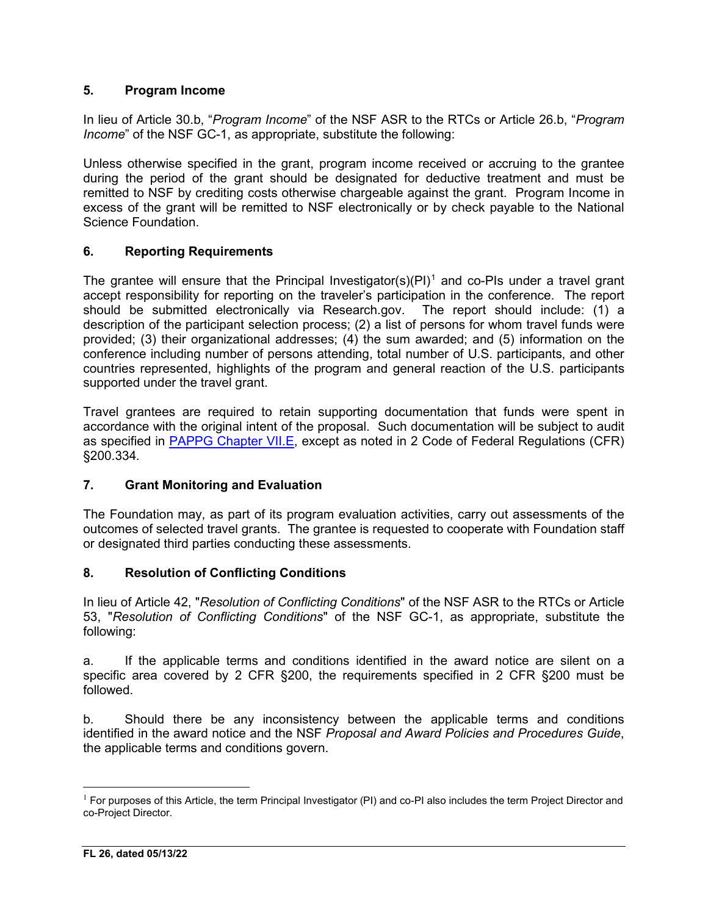## **5. Program Income**

In lieu of Article 30.b, "*Program Income*" of the NSF ASR to the RTCs or Article 26.b, "*Program Income*" of the NSF GC-1, as appropriate, substitute the following:

Unless otherwise specified in the grant, program income received or accruing to the grantee during the period of the grant should be designated for deductive treatment and must be remitted to NSF by crediting costs otherwise chargeable against the grant. Program Income in excess of the grant will be remitted to NSF electronically or by check payable to the National Science Foundation.

# **6. Reporting Requirements**

The grantee will ensure that the Principal Investigator(s)(PI)<sup>[1](#page-2-0)</sup> and co-PIs under a travel grant accept responsibility for reporting on the traveler's participation in the conference. The report should be submitted electronically via Research.gov. The report should include: (1) a description of the participant selection process; (2) a list of persons for whom travel funds were provided; (3) their organizational addresses; (4) the sum awarded; and (5) information on the conference including number of persons attending, total number of U.S. participants, and other countries represented, highlights of the program and general reaction of the U.S. participants supported under the travel grant.

Travel grantees are required to retain supporting documentation that funds were spent in accordance with the original intent of the proposal. Such documentation will be subject to audit as specified in PAPPG Chapter VII.E, except as noted in 2 Code of Federal Regulations (CFR) §200.334*.* 

## **7. Grant Monitoring and Evaluation**

The Foundation may, as part of its program evaluation activities, carry out assessments of the outcomes of selected travel grants. The grantee is requested to cooperate with Foundation staff or designated third parties conducting these assessments.

## **8. Resolution of Conflicting Conditions**

In lieu of Article 42, "*Resolution of Conflicting Conditions*" of the NSF ASR to the RTCs or Article 53, "*Resolution of Conflicting Conditions*" of the NSF GC-1, as appropriate, substitute the following:

a. If the applicable terms and conditions identified in the award notice are silent on a specific area covered by 2 CFR §200, the requirements specified in 2 CFR §200 must be followed.

b. Should there be any inconsistency between the applicable terms and conditions identified in the award notice and the NSF *Proposal and Award Policies and Procedures Guide*, the applicable terms and conditions govern.

<span id="page-2-0"></span><sup>&</sup>lt;sup>1</sup> For purposes of this Article, the term Principal Investigator (PI) and co-PI also includes the term Project Director and co-Project Director.